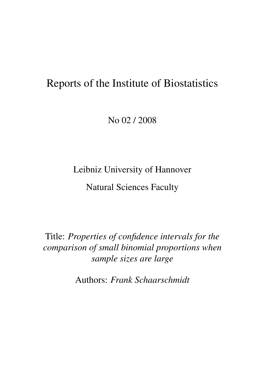# Reports of the Institute of Biostatistics

No 02 / 2008

Leibniz University of Hannover

Natural Sciences Faculty

Title: *Properties of confidence intervals for the comparison of small binomial proportions when sample sizes are large*

Authors: *Frank Schaarschmidt*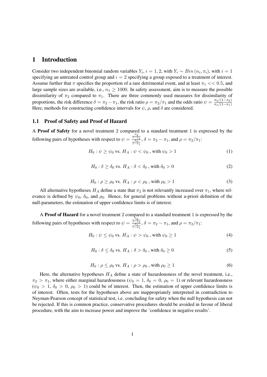# 1 Introduction

Consider two independent binomial random variables  $Y_i$ ,  $i = 1, 2$ , with  $Y_i \sim Bin(n_i, \pi_i)$ , with  $i = 1$ specifying an untreated control group and  $i = 2$  specifying a group exposed to a treatment of interest. Assume further that  $\pi$  specifies the proportion of a rare detrimental event, and at least  $\pi_1 \ll 0.5$ , and large sample sizes are available, i.e.,  $n_1 \ge 1000$ . In safety assessment, aim is to measure the possible dissimilarity of  $\pi_2$  compared to  $\pi_1$ . There are three commonly used measures for dissimilarity of proportions, the risk difference  $\delta = \pi_2 - \pi_1$ , the risk ratio  $\rho = \pi_2/\pi_1$  and the odds ratio  $\psi = \frac{\pi_2/(1-\pi_2)}{\pi_1/(1-\pi_1)}$  $\pi_1/(1-\pi_1)$ Here, methods for constructing confidence intervals for  $\psi$ ,  $\rho$ , and  $\delta$  are considered.

### 1.1 Proof of Safety and Proof of Hazard

A Proof of Safety for a novel treatment 2 compared to a standard treatment 1 is expressed by the following pairs of hypotheses with respect to  $\psi =$  $\frac{\frac{\pi_2}{1-\pi_2}}{\frac{\pi_1}{1-\pi_1}}$ ,  $\delta = \pi_2 - \pi_1$ , and  $\rho = \pi_2/\pi_1$ :

$$
H_0: \psi \ge \psi_0 \text{ vs. } H_A: \psi < \psi_0 \text{ , with } \psi_0 > 1 \tag{1}
$$

$$
H_0: \delta \ge \delta_0 \text{ vs. } H_A: \delta < \delta_0 \text{, with } \delta_0 > 0 \tag{2}
$$

$$
H_0: \rho \ge \rho_0 \text{ vs. } H_A: \rho < \rho_0 \text{ , with } \rho_0 > 1 \tag{3}
$$

All alternative hypotheses  $H_A$  define a state that  $\pi_2$  is not relevantly increased over  $\pi_1$ , where relevance is defined by  $\psi_0$ ,  $\delta_0$ , and  $\rho_0$ . Hence, for general problems without a-priori definition of the null-parameters, the estimation of upper confidence limits is of interest.

A Proof of Hazard for a novel treatment 2 compared to a standard treatment 1 is expressed by the following pairs of hypotheses with respect to  $\psi =$  $\frac{\frac{7\pi_2}{1-\pi_2}}{\frac{\pi_1}{1-\pi_1}}$ ,  $\delta = \pi_2 - \pi_1$ , and  $\rho = \pi_2/\pi_1$ :

$$
H_0: \psi \le \psi_0 \text{ vs. } H_A: \psi > \psi_0 \text{ , with } \psi_0 \ge 1 \tag{4}
$$

$$
H_0: \delta \le \delta_0 \text{ vs. } H_A: \delta > \delta_0 \text{, with } \delta_0 \ge 0 \tag{5}
$$

$$
H_0: \rho \le \rho_0 \text{ vs. } H_A: \rho > \rho_0 \text{ , with } \rho_0 \ge 1 \tag{6}
$$

Here, the alternative hypotheses  $H_A$  define a state of hazardousness of the novel treatment, i.e.,  $\pi_2 > \pi_1$ , where either marginal hazardousness ( $\psi_0 = 1$ ,  $\delta_0 = 0$ ,  $\rho_0 = 1$ ) or relevant hazardousness  $(\psi_0 > 1, \delta_0 > 0, \rho_0 > 1)$  could be of interest. Then, the estimation of upper confidence limits is of interest. Often, tests for the hypotheses above are inappropriately interpreted in contradiction to Neyman-Pearson concept of statistical test, i.e. concluding for safety when the null hypothesis can not be rejected. If this is common practice, conservative procedures should be avoided in favour of liberal procedure, with the aim to increase power and improve the 'confidence in negative results'.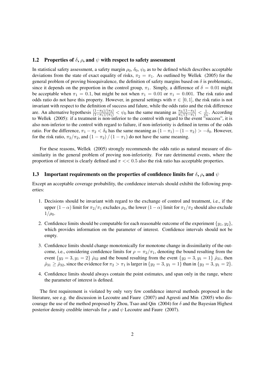### 1.2 Properties of  $\delta$ ,  $\rho$ , and  $\psi$  with respect to safety assessment

In statistical safety assessment, a safety margin  $\rho_0$ ,  $\delta_0$ ,  $\psi_0$  as to be defined which describes acceptable deviations from the state of exact equality of risks,  $\pi_2 = \pi_1$ . As outlined by Wellek (2005) for the general problem of proving bioequivalence, the definition of safety margins based on  $\delta$  is problematic, since it depends on the proportion in the control group,  $\pi_1$ . Simply, a difference of  $\delta = 0.01$  might be acceptable when  $\pi_1 = 0.1$ , but might be not when  $\pi_1 = 0.01$  or  $\pi_1 = 0.001$ . The risk ratio and odds ratio do not have this property. However, in general settings with  $\pi \in [0, 1]$ , the risk ratio is not invariant with respect to the definition of success and falure, while the odds ratio and the risk difference are. An alternative hypothesis  $\frac{(1-\pi_2)/(\pi_2)}{(1-\pi_1)/(\pi_1)} < \psi_0$  has the same meaning as  $\frac{\pi_2/(1-\pi_2)}{\pi_1/(1-\pi_1)} < \frac{1}{\psi_0}$  $\frac{1}{\psi_0}$ . According to Wellek (2005): if a treatment is non-inferior to the control with regard to the event "success", it is also non-inferior to the control with regard to failure, if non-inferiority is defined in terms of the odds ratio. For the difference,  $\pi_1 - \pi_2 < \delta_0$  has the same meaning as  $(1 - \pi_1) - (1 - \pi_2) > -\delta_0$ . However, for the risk ratio,  $\pi_2/\pi_2$ , and  $(1 - \pi_2) / (1 - \pi_1)$  do not have the same meaning.

For these reasons, Wellek (2005) strongly recommends the odds ratio as natural measure of dissimilarity in the general problem of proving non-inferiority. For rare detrimental events, where the proportion of interest is clearly defined and  $\pi \ll 0.5$  also the risk ratio has acceptable properties.

### 1.3 Important requirements on the properties of confidence limits for  $\delta$ ,  $\rho$ , and  $\psi$

Except an acceptable coverage probability, the confidence intervals should exhibit the following properties:

- 1. Decisions should be invariant with regard to the exchange of control and treatment, i.e., if the upper  $(1-\alpha)$  limit for  $\pi_2/\pi_1$  excludes  $\rho_0$ , the lower  $(1-\alpha)$  limit for  $\pi_1/\pi_2$  should also exclude  $1/\rho_0$ .
- 2. Confidence limits should be computable for each reasonable outcome of the experiment  $\{y_1, y_2\}$ , which provides information on the parameter of interest. Confidence intervals should not be empty.
- 3. Confidence limits should change monotonically for monotone change in dissimilarity of the outcome, i.e., considering confidence limits for  $\rho = \pi_2/\pi_1$ , denoting the bound resulting from the event  $\{y_2 = 3, y_1 = 2\}$   $\hat{\rho}_{32}$  and the bound resulting from the event  $\{y_2 = 3, y_1 = 1\}$   $\hat{\rho}_{31}$ , then  $\rho_{31} \ge \rho_{32}$ , since the evidence for  $\pi_2 > \pi_1$  is larger in  $\{y_2 = 3, y_1 = 1\}$  than in  $\{y_2 = 3, y_1 = 2\}$ .
- 4. Confidence limits should always contain the point estimates, and span only in the range, where the parameter of interest is defined.

The first requirement is violated by only very few confidence interval methods proposed in the literature, see e.g. the discussion in Lecoutre and Faure (2007) and Agresti and Min (2005) who discourage the use of the method proposed by Zhou, Tsao and Qin (2004) for  $\delta$  and the Bayesian Highest posterior density credible intervals for  $\rho$  and  $\psi$  Lecoutre and Faure (2007).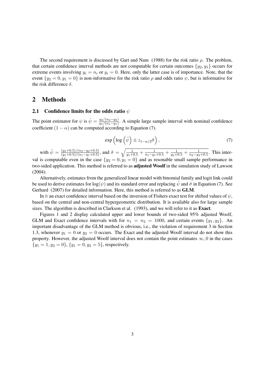The second requirement is discussed by Gart and Nam (1988) for the risk ratio  $\rho$ . The problem, that certain confidence interval methods are not computable for certain outcomes  $\{y_2, y_1\}$  occurs for extreme events involving  $y_i = n_i$  or  $y_i = 0$ . Here, only the latter case is of importance. Note, that the event  $\{y_2 = 0, y_1 = 0\}$  is non-informative for the risk ratio  $\rho$  and odds ratio  $\psi$ , but is informative for the risk difference  $\delta$ .

### 2 Methods

### 2.1 Confidence limits for the odds ratio  $\psi$

The point estimator for  $\psi$  is  $\hat{\psi} = \frac{y_2/(n_2-y_2)}{y_1/(n_1-m_1)}$  $\frac{y_{2}/(n_{2}-y_{2})}{y_{1}/(n_{1}-y_{1})}$ . A simple large sample interval with nominal confidence coefficient  $(1 - \alpha)$  can be computed according to Equation (7).

$$
\exp\left(\log\left(\tilde{\psi}\right) \pm z_{1-\alpha/2}\tilde{\sigma}\right),\tag{7}
$$

with  $\tilde{\psi} = \frac{(y_2+0.5)/(n_2-y_2+0.5)}{(y_1+0.5)/(n_1-y_1+0.5)}$ , and  $\tilde{\sigma} = \sqrt{\frac{1}{y_1+0.5} + \frac{1}{n_1-y_1+0.5} + \frac{1}{y_2+0.5} + \frac{1}{n_2-y_2+0.5}}$ . This interval is computable even in the case  $\{y_2 = 0, y_1 = 0\}$  and as resonable small sample performance in two-sided application. This method is referred to as adjusted Woolf in the simulation study of Lawson (2004).

Alternatively, estimates from the generalized linear model with binomial family and logit link could be used to derive estimates for  $log(\psi)$  and its standard error and replacing  $\dot{\psi}$  and  $\ddot{\sigma}$  in Equation (7). See Gerhard (2007) for detailed information. Here, this method is referred to as GLM.

In R an exact confidence interval based on the inversion of Fishers exact test for shifted values of  $\psi$ , based on the central and non-central hypergeometric distribution. It is available also for large sample sizes. The algorithm is described in Clarkson et al. (1993), and we will refer to it as **Exact**.

Figures 1 and 2 display calculated upper and lower bounds of two-sided 95% adjusted Woolf, GLM and Exact confidence intervals with for  $n_1 = n_2 = 1000$ , and certain events  $\{y_1, y_2\}$ . An important disadvantage of the GLM method is obvious, i.e., the violation of requirement 3 in Section 1.3, whenever  $y_1 = 0$  or  $y_2 = 0$  occurs. The Exact and the adjusted Woolf interval do not show this property. However, the adjusted Woolf interval does not contain the point estimates  $\infty$ , 0 in the cases  ${y_1 = 1, y_2 = 0}, \{y_1 = 0, y_2 = 5\}$ , respectively.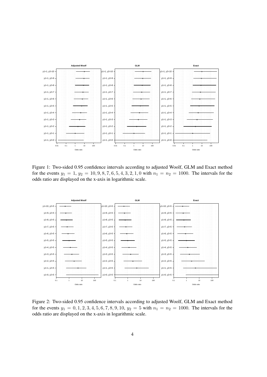

Figure 1: Two-sided 0.95 confidence intervals according to adjusted Woolf, GLM and Exact method for the events  $y_1 = 1$ ,  $y_2 = 10, 9, 8, 7, 6, 5, 4, 3, 2, 1, 0$  with  $n_1 = n_2 = 1000$ . The intervals for the odds ratio are displayed on the x-axis in logarithmic scale.



Figure 2: Two-sided 0.95 confidence intervals according to adjusted Woolf, GLM and Exact method for the events  $y_1 = 0, 1, 2, 3, 4, 5, 6, 7, 8, 9, 10, y_2 = 5$  with  $n_1 = n_2 = 1000$ . The intervals for the odds ratio are displayed on the x-axis in logarithmic scale.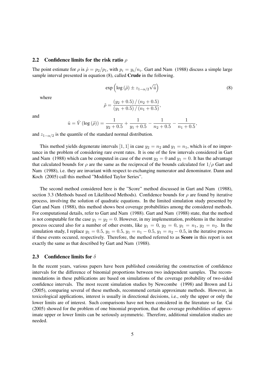### 2.2 Confidence limits for the risk ratio  $\rho$

The point estimate for  $\rho$  is  $\hat{\rho} = p_2/p_1$ , with  $p_i = y_i/n_i$ . Gart and Nam (1988) discuss a simple large sample interval presented in equation (8), called Crude in the following.

$$
\exp\left(\log\left(\tilde{\rho}\right) \pm z_{1-\alpha/2}\sqrt{\hat{u}}\right) \tag{8}
$$

where

$$
\tilde{\rho} = \frac{(y_2 + 0.5) / (n_2 + 0.5)}{(y_1 + 0.5) / (n_1 + 0.5)},
$$

and

$$
\hat{u} = \hat{V} (\log(\tilde{\rho})) = \frac{1}{y_2 + 0.5} + \frac{1}{y_1 + 0.5} - \frac{1}{n_2 + 0.5} - \frac{1}{n_1 + 0.5},
$$

and  $z_{1-\alpha/2}$  is the quantile of the standard normal distribution.

This method yields degenerate intervals [1, 1] in case  $y_2 = n_2$  and  $y_1 = n_1$ , which is of no importance in the problem of considering rare event rates. It is one of the few intervals considered in Gart and Nam (1988) which can be computed in case of the event  $y_2 = 0$  and  $y_1 = 0$ . It has the advantage that calculated bounds for  $\rho$  are the same as the reciprocal of the bounds calculated for  $1/\rho$  Gart and Nam (1988), i.e. they are invariant with respect to exchanging numerator and denominator. Dann and Koch (2005) call this method "Modified Taylor Series".

The second method considered here is the "Score" method discussed in Gart and Nam (1988), section 3.3 (Methods based on Likelihood Methods). Confidence bounds for  $\rho$  are found by iterative process, involving the solution of quadratic equations. In the limited simulation study presented by Gart and Nam (1988), this method shows best coverage probabilities among the considered methods. For computational details, refer to Gart and Nam (1988). Gart and Nam (1988) state, that the method is not computable for the case  $y_1 = y_2 = 0$ . However, in my implementation, problems in the iterative process occured also for a number of other events, like  $y_1 = 0$ ,  $y_2 = 0$ ,  $y_1 = n_1$ ,  $y_2 = n_2$ . In the simulation study, I replace  $y_1 = 0.5$ ,  $y_1 = 0.5$ ,  $y_1 = n_1 - 0.5$ ,  $y_1 = n_2 - 0.5$ , in the iterative process if these events occured, respectively. Therefore, the method referred to as Score in this report is not exactly the same as that described by Gart and Nam (1988).

### 2.3 Confidence limits for  $\delta$

In the recent years, various papers have been published considering the construction of confidence intervals for the difference of binomial proportions between two independent samples. The recommendations in these publications are based on simulations of the coverage probability of two-sided confidence intervals. The most recent simulation studies by Newcombe (1998) and Brown and Li (2005), comparing several of these methods, recommend certain approximate methods. However, in toxicological applications, interest is usually in directional decisions, i.e., only the upper or only the lower limits are of interest. Such comparisons have not been considered in the literature so far. Cai (2005) showed for the problem of one binomial proportion, that the coverage probabilities of approximate upper or lower limits can be seriously asymmetric. Therefore, additional simulation studies are needed.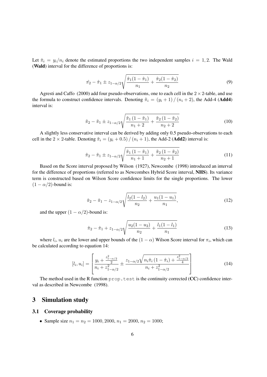Let  $\hat{\pi}_i = y_i/n_i$  denote the estimated proportions the two independent samples  $i = 1, 2$ . The Wald (Wald) interval for the difference of proportions is:

$$
\hat{\pi}_2 - \hat{\pi}_1 \pm z_{1-\alpha/2} \sqrt{\frac{\hat{\pi}_1(1-\hat{\pi}_1)}{n_1} + \frac{\hat{\pi}_2(1-\hat{\pi}_2)}{n_2}} \tag{9}
$$

Agresti and Caffo (2000) add four pseudo-observations, one to each cell in the  $2 \times 2$ -table, and use the formula to construct confidence intervals. Denoting  $\tilde{\pi}_i = (y_i + 1) / (n_i + 2)$ , the Add-4 (Add4) interval is:

$$
\tilde{\pi}_2 - \tilde{\pi}_1 \pm z_{1-\alpha/2} \sqrt{\frac{\tilde{\pi}_1 \left(1 - \tilde{\pi}_1\right)}{n_1 + 2} + \frac{\tilde{\pi}_2 \left(1 - \tilde{\pi}_2\right)}{n_2 + 2}}\tag{10}
$$

A slightly less conservative interval can be derived by adding only 0.5 pseudo-observations to each cell in the 2  $\times$  2-table. Denoting  $\tilde{\pi}_i = (y_i + 0.5) / (n_i + 1)$ , the Add-2 (**Add2**) interval is:

$$
\tilde{\pi}_2 - \tilde{\pi}_1 \pm z_{1-\alpha/2} \sqrt{\frac{\tilde{\pi}_1 (1 - \tilde{\pi}_1)}{n_1 + 1} + \frac{\tilde{\pi}_2 (1 - \tilde{\pi}_2)}{n_2 + 1}}\tag{11}
$$

Based on the Score interval proposed by Wilson (1927), Newcombe (1998) introduced an interval for the difference of proportions (referred to as Newcombes Hybrid Score interval, NHS). Its variance term is constructed based on Wilson Score confidence limits for the single proportions. The lower  $(1 - \alpha/2)$ -bound is:

$$
\hat{\pi}_2 - \hat{\pi}_1 - z_{1-\alpha/2} \sqrt{\frac{l_2(1-l_2)}{n_2} + \frac{u_1(1-u_1)}{n_1}},\tag{12}
$$

and the upper  $(1 - \alpha/2)$ -bound is:

$$
\hat{\pi}_2 - \hat{\pi}_1 + z_{1-\alpha/2} \sqrt{\frac{u_2(1-u_2)}{n_2} + \frac{l_1(1-l_1)}{n_1}}\tag{13}
$$

where  $l_i$ ,  $u_i$  are the lower and upper bounds of the  $(1 - \alpha)$  Wilson Score interval for  $\pi_i$ , which can be calculated according to equation 14:

$$
[l_i, u_i] = \left[ \frac{y_i + \frac{z_{1-\alpha/2}^2}{2}}{n_i + z_{1-\alpha/2}^2} \pm \frac{z_{1-\alpha/2} \sqrt{n_i \hat{\pi}_i (1 - \hat{\pi}_i) + \frac{z_{1-\alpha/2}^2}{4}}}{n_i + z_{1-\alpha/2}^2} \right]
$$
(14)

The method used in the R function  $prop.$  test is the continuity corrected (CC) confidence interval as described in Newcombe (1998).

# 3 Simulation study

### 3.1 Coverage probability

• Sample size  $n_1 = n_2 = 1000, 2000, n_1 = 2000, n_2 = 1000;$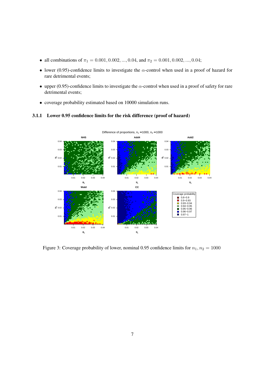- all combinations of  $\pi_1 = 0.001, 0.002, ..., 0.04$ , and  $\pi_2 = 0.001, 0.002, ..., 0.04$ ;
- lower (0.95)-confidence limits to investigate the  $\alpha$ -control when used in a proof of hazard for rare detrimental events;
- upper (0.95)-confidence limits to investigate the  $\alpha$ -control when used in a proof of safety for rare detrimental events;
- coverage probability estimated based on 10000 simulation runs.





Figure 3: Coverage probability of lower, nominal 0.95 confidence limits for  $n_1, n_2 = 1000$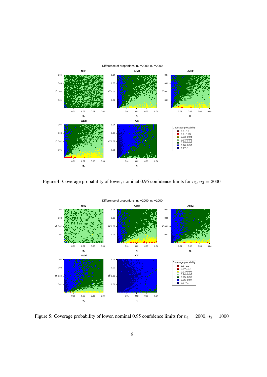

Figure 4: Coverage probability of lower, nominal 0.95 confidence limits for  $n_1$ ,  $n_2 = 2000$ 



Figure 5: Coverage probability of lower, nominal 0.95 confidence limits for  $n_1 = 2000$ ,  $n_2 = 1000$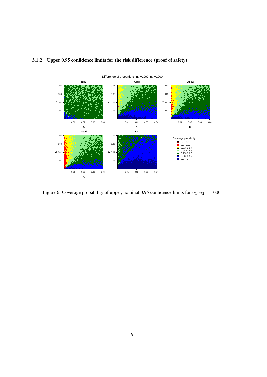

# 3.1.2 Upper 0.95 confidence limits for the risk difference (proof of safety)

Figure 6: Coverage probability of upper, nominal 0.95 confidence limits for  $n_1$ ,  $n_2 = 1000$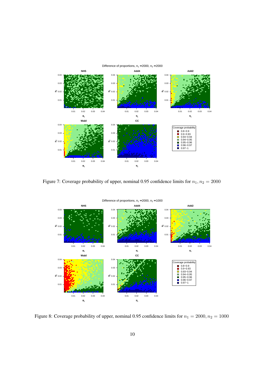

Figure 7: Coverage probability of upper, nominal 0.95 confidence limits for  $n_1$ ,  $n_2 = 2000$ 



Figure 8: Coverage probability of upper, nominal 0.95 confidence limits for  $n_1 = 2000$ ,  $n_2 = 1000$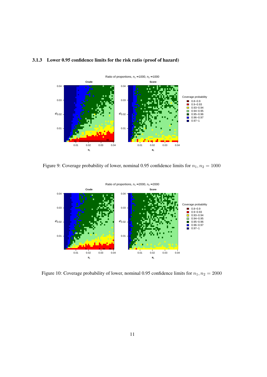

# 3.1.3 Lower 0.95 confidence limits for the risk ratio (proof of hazard)

Figure 9: Coverage probability of lower, nominal 0.95 confidence limits for  $n_1$ ,  $n_2 = 1000$ 



Figure 10: Coverage probability of lower, nominal 0.95 confidence limits for  $n_1$ ,  $n_2 = 2000$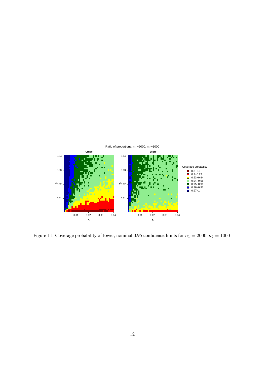

Figure 11: Coverage probability of lower, nominal 0.95 confidence limits for  $n_1 = 2000$ ,  $n_2 = 1000$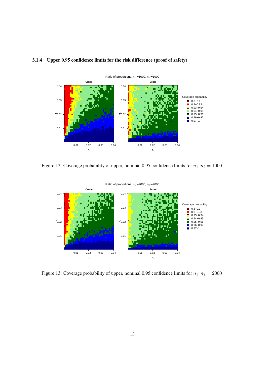

# 3.1.4 Upper 0.95 confidence limits for the risk difference (proof of safety)

Figure 12: Coverage probability of upper, nominal 0.95 confidence limits for  $n_1, n_2 = 1000$ 



Figure 13: Coverage probability of upper, nominal 0.95 confidence limits for  $n_1$ ,  $n_2 = 2000$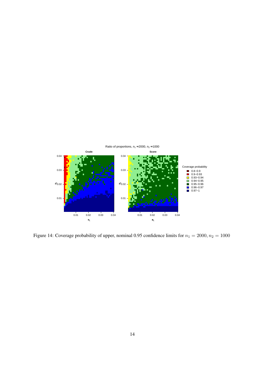

Figure 14: Coverage probability of upper, nominal 0.95 confidence limits for  $n_1 = 2000$ ,  $n_2 = 1000$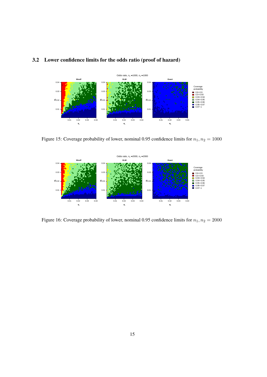# 3.2 Lower confidence limits for the odds ratio (proof of hazard)



Figure 15: Coverage probability of lower, nominal 0.95 confidence limits for  $n_1$ ,  $n_2 = 1000$ 



Figure 16: Coverage probability of lower, nominal 0.95 confidence limits for  $n_1$ ,  $n_2 = 2000$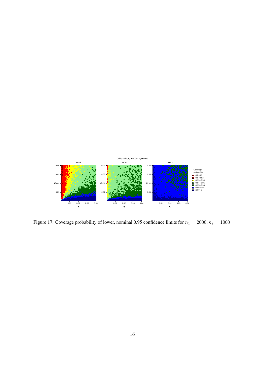

Figure 17: Coverage probability of lower, nominal 0.95 confidence limits for  $n_1 = 2000$ ,  $n_2 = 1000$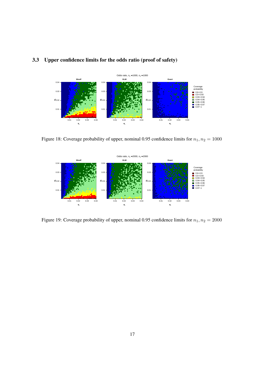



Figure 18: Coverage probability of upper, nominal 0.95 confidence limits for  $n_1$ ,  $n_2 = 1000$ 



Figure 19: Coverage probability of upper, nominal 0.95 confidence limits for  $n_1$ ,  $n_2 = 2000$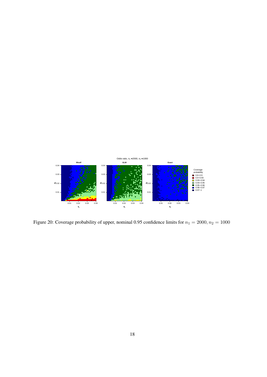

Figure 20: Coverage probability of upper, nominal 0.95 confidence limits for  $n_1 = 2000$ ,  $n_2 = 1000$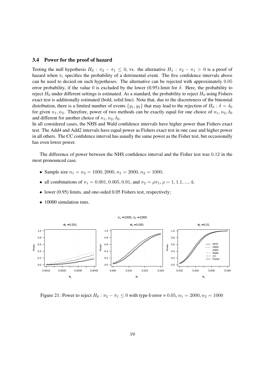### 3.4 Power for the proof of hazard

Testing the null hypothesis  $H_0$ :  $\pi_2 - \pi_1 \leq 0$ , vs. the alternative  $H_1$ :  $\pi_2 - \pi_1 > 0$  is a proof of hazard when  $\pi_i$  specifies the probability of a detrimental event. The five confidence intervals above can be used to decied on such hypotheses. The alternative can be rejected with approximately 0.05 error probability, if the value 0 is excluded by the lower (0.95)-limit for  $\delta$ . Here, the probability to reject  $H_0$  under different settings is estimated. As a standard, the probability to reject  $H_0$  using Fishers exact test is additionally estimated (bold, solid line). Note that, due to the discreteness of the binomial distribution, there is a limited number of events  $\{y_1, y_2\}$  that may lead to the rejection of  $H_0 : \delta = \delta_0$ for given  $n_1, n_2$ . Therefore, power of two methods can be exactly equal for one choice of  $n_1, n_2, \delta_0$ and different for another choice of  $n_1, n_2, \delta_0$ .

In all considered cases, the NHS and Wald confidence intervals have higher power than Fishers exact test. The Add4 and Add2 intervals have equal power as Fishers exact test in one case and higher power in all others. The CC confidence interval has usually the same power as the Fisher test, but occasionally has even lower power.

The difference of power between the NHS confidence interval and the Fisher test was 0.12 in the most pronounced case.

- Sample size  $n_1 = n_2 = 1000, 2000, n_1 = 2000, n_2 = 1000;$
- all combinations of  $\pi_1 = 0.001, 0.005, 0.01$ , and  $\pi_2 = \rho \pi_1, \rho = 1, 1.1, ..., 4;$
- lower (0.95) limits, and one-sided 0.05 Fishers test, respectively;
- 10000 simulation runs.



Figure 21: Power to reject  $H_0$ :  $\pi_2 - \pi_1 \le 0$  with type-I-error = 0.05,  $n_1 = 2000, n_2 = 1000$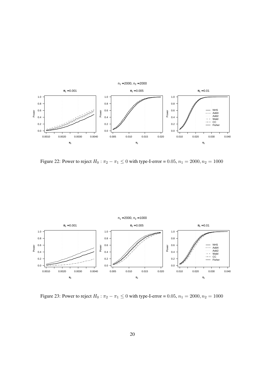

Figure 22: Power to reject  $H_0: \pi_2 - \pi_1 \le 0$  with type-I-error = 0.05,  $n_1 = 2000, n_2 = 1000$ 



Figure 23: Power to reject  $H_0$ :  $\pi_2 - \pi_1 \le 0$  with type-I-error = 0.05,  $n_1 = 2000$ ,  $n_2 = 1000$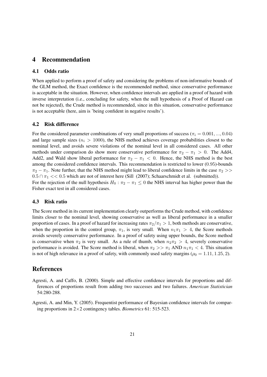# 4 Recommendation

### 4.1 Odds ratio

When applied to perform a proof of safety and considering the problems of non-informative bounds of the GLM method, the Exact confidence is the recommended method, since conservative performance is acceptable in the situation. However, when confidence intervals are applied in a proof of hazard with inverse interpretation (i.e., concluding for safety, when the null hypothesis of a Proof of Hazard can not be rejected), the Crude method is recommended, since in this situation, conservative performance is not acceptable (here, aim is 'being confident in negative results').

### 4.2 Risk difference

For the considered parameter combinations of very small proportions of success ( $\pi_i = 0.001, ..., 0.04$ ) and large sample sizes ( $n_i > 1000$ ), the NHS method achieves coverage probabilities closest to the nominal level, and avoids severe violations of the nominal level in all considered cases. All other methods under comparison do show more conservative performance for  $\pi_2 - \pi_1 > 0$ . The Add4, Add2, and Wald show liberal performance for  $\pi_2 - \pi_1 < 0$ . Hence, the NHS method is the best among the considered confidence intervals. This recommendation is restricted to lower (0.95)-bounds  $\pi_2 - \pi_1$ . Note further, that the NHS method might lead to liberal confidence limits in the case  $\pi_2$  >>  $0.5 \cap \pi_1 \ll 0.5$  which are not of interest here (Sill (2007); Schaarschmidt et al. (submitted)). For the rejection of the null hypothesis  $H_0$ :  $\pi_2 - \pi_1 \leq 0$  the NHS interval has higher power than the Fisher exact test in all considered cases.

### 4.3 Risk ratio

The Score method in its current implementation clearly outperforms the Crude method, with confidence limits closer to the nominal level, showing conservative as well as liberal performance in a smaller proportion of cases. In a proof of hazard for increasing rates  $\pi_2/\pi_1 > 1$ , both methods are conservative, when the proportion in the control group,  $\pi_1$ , is very small. When  $n_1\pi_1 > 4$ , the Score methods avoids severely conservative performance. In a proof of safety using upper bounds, the Score method is conservative when  $\pi_2$  is very small. As a rule of thumb, when  $n_2\pi_2 > 4$ , severely conservative performance is avoided. The Score method is liberal, when  $\pi_2 >> \pi_1$  AND  $n_1\pi_1 < 4$ . This situation is not of high relevance in a proof of safety, with commonly used safety margins ( $\rho_0 = 1.11, 1.25, 2$ ).

# References

- Agresti, A. and Caffo, B. (2000). Simple and effective confidence intervals for proportions and differences of proportions result from adding two successes and two failures. *American Statistician* 54:280-288.
- Agresti, A. and Min, Y. (2005). Frequentist performance of Bayesian confidence intervals for comparing proportions in 2×2 contingency tables. *Biometrics* 61: 515-523.